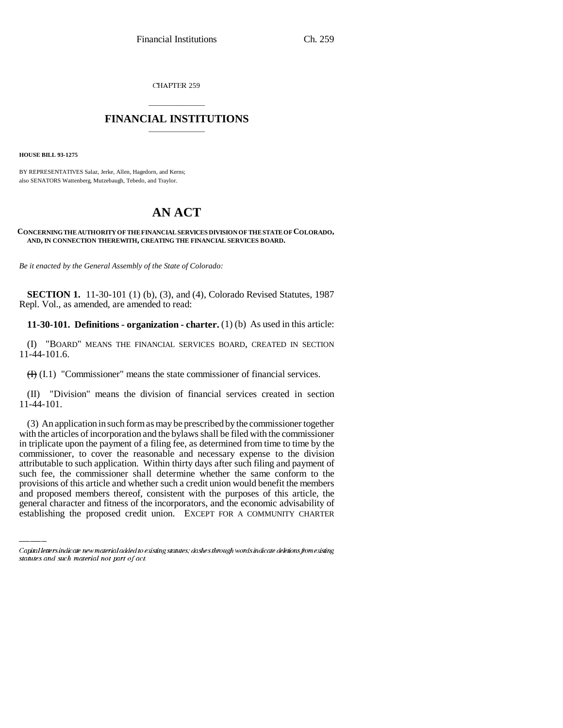CHAPTER 259

# \_\_\_\_\_\_\_\_\_\_\_\_\_\_\_ **FINANCIAL INSTITUTIONS** \_\_\_\_\_\_\_\_\_\_\_\_\_\_\_

**HOUSE BILL 93-1275**

BY REPRESENTATIVES Salaz, Jerke, Allen, Hagedorn, and Kerns; also SENATORS Wattenberg, Mutzebaugh, Tebedo, and Traylor.

# **AN ACT**

### **CONCERNING THE AUTHORITY OF THE FINANCIAL SERVICES DIVISION OF THE STATE OF COLORADO, AND, IN CONNECTION THEREWITH, CREATING THE FINANCIAL SERVICES BOARD.**

*Be it enacted by the General Assembly of the State of Colorado:*

**SECTION 1.** 11-30-101 (1) (b), (3), and (4), Colorado Revised Statutes, 1987 Repl. Vol., as amended, are amended to read:

**11-30-101. Definitions - organization - charter.** (1) (b) As used in this article:

(I) "BOARD" MEANS THE FINANCIAL SERVICES BOARD, CREATED IN SECTION 11-44-101.6.

 $(H)$  (I.1) "Commissioner" means the state commissioner of financial services.

(II) "Division" means the division of financial services created in section 11-44-101.

such fee, the commissioner shall determine whether the same conform to the (3) An application in such form as may be prescribed by the commissioner together with the articles of incorporation and the bylaws shall be filed with the commissioner in triplicate upon the payment of a filing fee, as determined from time to time by the commissioner, to cover the reasonable and necessary expense to the division attributable to such application. Within thirty days after such filing and payment of provisions of this article and whether such a credit union would benefit the members and proposed members thereof, consistent with the purposes of this article, the general character and fitness of the incorporators, and the economic advisability of establishing the proposed credit union. EXCEPT FOR A COMMUNITY CHARTER

Capital letters indicate new material added to existing statutes; dashes through words indicate deletions from existing statutes and such material not part of act.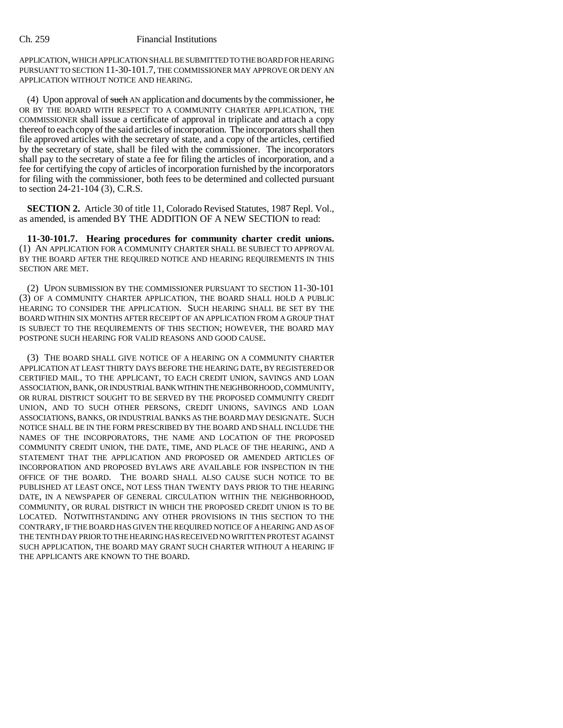APPLICATION, WHICH APPLICATION SHALL BE SUBMITTED TO THE BOARD FOR HEARING PURSUANT TO SECTION 11-30-101.7, THE COMMISSIONER MAY APPROVE OR DENY AN APPLICATION WITHOUT NOTICE AND HEARING.

(4) Upon approval of such AN application and documents by the commissioner, he OR BY THE BOARD WITH RESPECT TO A COMMUNITY CHARTER APPLICATION, THE COMMISSIONER shall issue a certificate of approval in triplicate and attach a copy thereof to each copy of the said articles of incorporation. The incorporators shall then file approved articles with the secretary of state, and a copy of the articles, certified by the secretary of state, shall be filed with the commissioner. The incorporators shall pay to the secretary of state a fee for filing the articles of incorporation, and a fee for certifying the copy of articles of incorporation furnished by the incorporators for filing with the commissioner, both fees to be determined and collected pursuant to section 24-21-104 (3), C.R.S.

**SECTION 2.** Article 30 of title 11, Colorado Revised Statutes, 1987 Repl. Vol., as amended, is amended BY THE ADDITION OF A NEW SECTION to read:

**11-30-101.7. Hearing procedures for community charter credit unions.** (1) AN APPLICATION FOR A COMMUNITY CHARTER SHALL BE SUBJECT TO APPROVAL BY THE BOARD AFTER THE REQUIRED NOTICE AND HEARING REQUIREMENTS IN THIS SECTION ARE MET.

(2) UPON SUBMISSION BY THE COMMISSIONER PURSUANT TO SECTION 11-30-101 (3) OF A COMMUNITY CHARTER APPLICATION, THE BOARD SHALL HOLD A PUBLIC HEARING TO CONSIDER THE APPLICATION. SUCH HEARING SHALL BE SET BY THE BOARD WITHIN SIX MONTHS AFTER RECEIPT OF AN APPLICATION FROM A GROUP THAT IS SUBJECT TO THE REQUIREMENTS OF THIS SECTION; HOWEVER, THE BOARD MAY POSTPONE SUCH HEARING FOR VALID REASONS AND GOOD CAUSE.

(3) THE BOARD SHALL GIVE NOTICE OF A HEARING ON A COMMUNITY CHARTER APPLICATION AT LEAST THIRTY DAYS BEFORE THE HEARING DATE, BY REGISTERED OR CERTIFIED MAIL, TO THE APPLICANT, TO EACH CREDIT UNION, SAVINGS AND LOAN ASSOCIATION, BANK, OR INDUSTRIAL BANK WITHIN THE NEIGHBORHOOD, COMMUNITY, OR RURAL DISTRICT SOUGHT TO BE SERVED BY THE PROPOSED COMMUNITY CREDIT UNION, AND TO SUCH OTHER PERSONS, CREDIT UNIONS, SAVINGS AND LOAN ASSOCIATIONS, BANKS, OR INDUSTRIAL BANKS AS THE BOARD MAY DESIGNATE. SUCH NOTICE SHALL BE IN THE FORM PRESCRIBED BY THE BOARD AND SHALL INCLUDE THE NAMES OF THE INCORPORATORS, THE NAME AND LOCATION OF THE PROPOSED COMMUNITY CREDIT UNION, THE DATE, TIME, AND PLACE OF THE HEARING, AND A STATEMENT THAT THE APPLICATION AND PROPOSED OR AMENDED ARTICLES OF INCORPORATION AND PROPOSED BYLAWS ARE AVAILABLE FOR INSPECTION IN THE OFFICE OF THE BOARD. THE BOARD SHALL ALSO CAUSE SUCH NOTICE TO BE PUBLISHED AT LEAST ONCE, NOT LESS THAN TWENTY DAYS PRIOR TO THE HEARING DATE, IN A NEWSPAPER OF GENERAL CIRCULATION WITHIN THE NEIGHBORHOOD, COMMUNITY, OR RURAL DISTRICT IN WHICH THE PROPOSED CREDIT UNION IS TO BE LOCATED. NOTWITHSTANDING ANY OTHER PROVISIONS IN THIS SECTION TO THE CONTRARY, IF THE BOARD HAS GIVEN THE REQUIRED NOTICE OF A HEARING AND AS OF THE TENTH DAY PRIOR TO THE HEARING HAS RECEIVED NO WRITTEN PROTEST AGAINST SUCH APPLICATION, THE BOARD MAY GRANT SUCH CHARTER WITHOUT A HEARING IF THE APPLICANTS ARE KNOWN TO THE BOARD.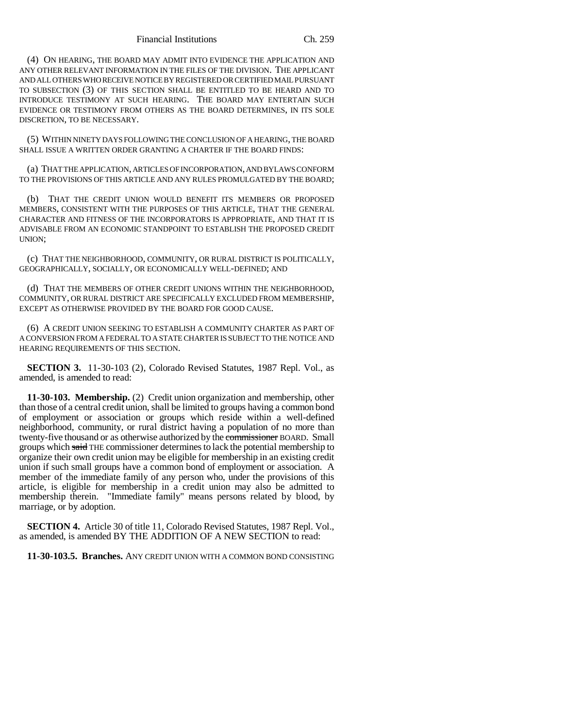(4) ON HEARING, THE BOARD MAY ADMIT INTO EVIDENCE THE APPLICATION AND ANY OTHER RELEVANT INFORMATION IN THE FILES OF THE DIVISION. THE APPLICANT AND ALL OTHERS WHO RECEIVE NOTICE BY REGISTERED OR CERTIFIED MAIL PURSUANT TO SUBSECTION (3) OF THIS SECTION SHALL BE ENTITLED TO BE HEARD AND TO INTRODUCE TESTIMONY AT SUCH HEARING. THE BOARD MAY ENTERTAIN SUCH EVIDENCE OR TESTIMONY FROM OTHERS AS THE BOARD DETERMINES, IN ITS SOLE DISCRETION, TO BE NECESSARY.

(5) WITHIN NINETY DAYS FOLLOWING THE CONCLUSION OF A HEARING, THE BOARD SHALL ISSUE A WRITTEN ORDER GRANTING A CHARTER IF THE BOARD FINDS:

(a) THAT THE APPLICATION, ARTICLES OF INCORPORATION, AND BYLAWS CONFORM TO THE PROVISIONS OF THIS ARTICLE AND ANY RULES PROMULGATED BY THE BOARD;

(b) THAT THE CREDIT UNION WOULD BENEFIT ITS MEMBERS OR PROPOSED MEMBERS, CONSISTENT WITH THE PURPOSES OF THIS ARTICLE, THAT THE GENERAL CHARACTER AND FITNESS OF THE INCORPORATORS IS APPROPRIATE, AND THAT IT IS ADVISABLE FROM AN ECONOMIC STANDPOINT TO ESTABLISH THE PROPOSED CREDIT UNION;

(c) THAT THE NEIGHBORHOOD, COMMUNITY, OR RURAL DISTRICT IS POLITICALLY, GEOGRAPHICALLY, SOCIALLY, OR ECONOMICALLY WELL-DEFINED; AND

(d) THAT THE MEMBERS OF OTHER CREDIT UNIONS WITHIN THE NEIGHBORHOOD, COMMUNITY, OR RURAL DISTRICT ARE SPECIFICALLY EXCLUDED FROM MEMBERSHIP, EXCEPT AS OTHERWISE PROVIDED BY THE BOARD FOR GOOD CAUSE.

(6) A CREDIT UNION SEEKING TO ESTABLISH A COMMUNITY CHARTER AS PART OF A CONVERSION FROM A FEDERAL TO A STATE CHARTER IS SUBJECT TO THE NOTICE AND HEARING REQUIREMENTS OF THIS SECTION.

**SECTION 3.** 11-30-103 (2), Colorado Revised Statutes, 1987 Repl. Vol., as amended, is amended to read:

**11-30-103. Membership.** (2) Credit union organization and membership, other than those of a central credit union, shall be limited to groups having a common bond of employment or association or groups which reside within a well-defined neighborhood, community, or rural district having a population of no more than twenty-five thousand or as otherwise authorized by the commissioner BOARD. Small groups which said THE commissioner determines to lack the potential membership to organize their own credit union may be eligible for membership in an existing credit union if such small groups have a common bond of employment or association. A member of the immediate family of any person who, under the provisions of this article, is eligible for membership in a credit union may also be admitted to membership therein. "Immediate family" means persons related by blood, by marriage, or by adoption.

**SECTION 4.** Article 30 of title 11, Colorado Revised Statutes, 1987 Repl. Vol., as amended, is amended BY THE ADDITION OF A NEW SECTION to read:

**11-30-103.5. Branches.** ANY CREDIT UNION WITH A COMMON BOND CONSISTING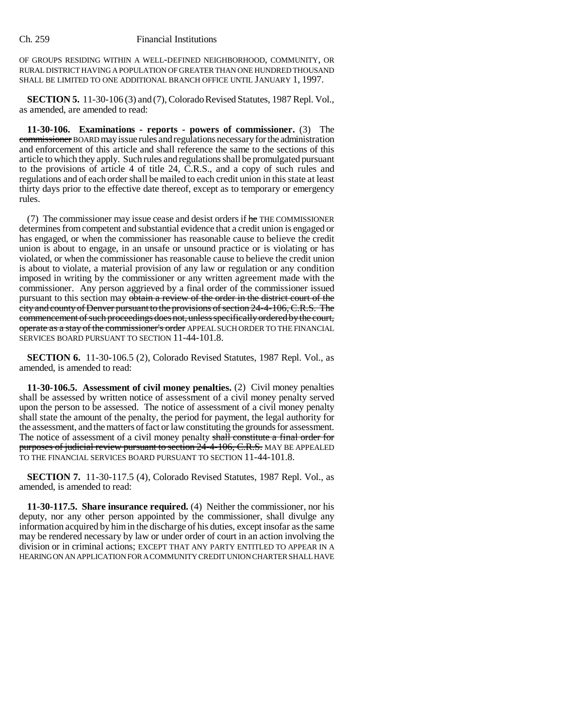OF GROUPS RESIDING WITHIN A WELL-DEFINED NEIGHBORHOOD, COMMUNITY, OR RURAL DISTRICT HAVING A POPULATION OF GREATER THAN ONE HUNDRED THOUSAND SHALL BE LIMITED TO ONE ADDITIONAL BRANCH OFFICE UNTIL JANUARY 1, 1997.

**SECTION 5.** 11-30-106 (3) and (7), Colorado Revised Statutes, 1987 Repl. Vol., as amended, are amended to read:

**11-30-106. Examinations - reports - powers of commissioner.** (3) The commissioner BOARD may issue rules and regulations necessary for the administration and enforcement of this article and shall reference the same to the sections of this article to which they apply. Such rules and regulations shall be promulgated pursuant to the provisions of article 4 of title 24, C.R.S., and a copy of such rules and regulations and of each order shall be mailed to each credit union in this state at least thirty days prior to the effective date thereof, except as to temporary or emergency rules.

(7) The commissioner may issue cease and desist orders if he THE COMMISSIONER determines from competent and substantial evidence that a credit union is engaged or has engaged, or when the commissioner has reasonable cause to believe the credit union is about to engage, in an unsafe or unsound practice or is violating or has violated, or when the commissioner has reasonable cause to believe the credit union is about to violate, a material provision of any law or regulation or any condition imposed in writing by the commissioner or any written agreement made with the commissioner. Any person aggrieved by a final order of the commissioner issued pursuant to this section may obtain a review of the order in the district court of the city and county of Denver pursuant to the provisions of section 24-4-106, C.R.S. The commencement of such proceedings does not, unless specifically ordered by the court, operate as a stay of the commissioner's order APPEAL SUCH ORDER TO THE FINANCIAL SERVICES BOARD PURSUANT TO SECTION 11-44-101.8.

**SECTION 6.** 11-30-106.5 (2), Colorado Revised Statutes, 1987 Repl. Vol., as amended, is amended to read:

**11-30-106.5. Assessment of civil money penalties.** (2) Civil money penalties shall be assessed by written notice of assessment of a civil money penalty served upon the person to be assessed. The notice of assessment of a civil money penalty shall state the amount of the penalty, the period for payment, the legal authority for the assessment, and the matters of fact or law constituting the grounds for assessment. The notice of assessment of a civil money penalty shall constitute a final order for purposes of judicial review pursuant to section 24-4-106, C.R.S. MAY BE APPEALED TO THE FINANCIAL SERVICES BOARD PURSUANT TO SECTION 11-44-101.8.

**SECTION 7.** 11-30-117.5 (4), Colorado Revised Statutes, 1987 Repl. Vol., as amended, is amended to read:

**11-30-117.5. Share insurance required.** (4) Neither the commissioner, nor his deputy, nor any other person appointed by the commissioner, shall divulge any information acquired by him in the discharge of his duties, except insofar as the same may be rendered necessary by law or under order of court in an action involving the division or in criminal actions; EXCEPT THAT ANY PARTY ENTITLED TO APPEAR IN A HEARING ON AN APPLICATION FOR A COMMUNITY CREDIT UNION CHARTER SHALL HAVE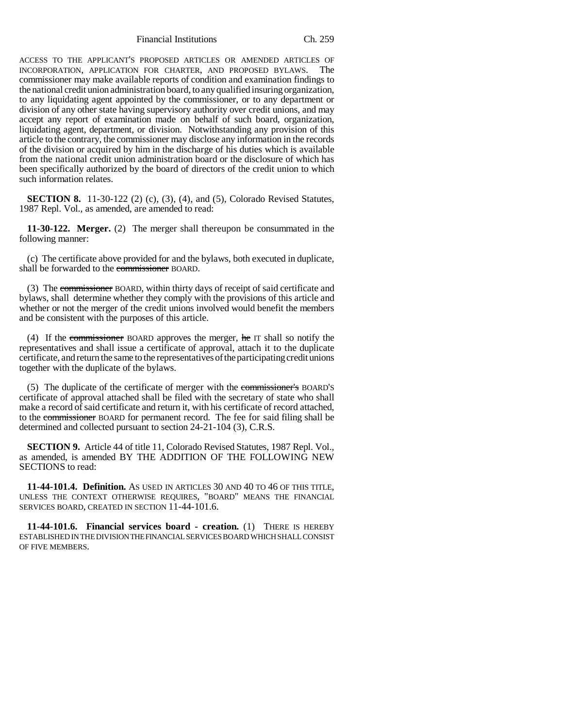Financial Institutions Ch. 259

ACCESS TO THE APPLICANT'S PROPOSED ARTICLES OR AMENDED ARTICLES OF INCORPORATION, APPLICATION FOR CHARTER, AND PROPOSED BYLAWS. The commissioner may make available reports of condition and examination findings to the national credit union administration board, to any qualified insuring organization, to any liquidating agent appointed by the commissioner, or to any department or division of any other state having supervisory authority over credit unions, and may accept any report of examination made on behalf of such board, organization, liquidating agent, department, or division. Notwithstanding any provision of this article to the contrary, the commissioner may disclose any information in the records of the division or acquired by him in the discharge of his duties which is available from the national credit union administration board or the disclosure of which has been specifically authorized by the board of directors of the credit union to which such information relates.

**SECTION 8.** 11-30-122 (2) (c), (3), (4), and (5), Colorado Revised Statutes, 1987 Repl. Vol., as amended, are amended to read:

**11-30-122. Merger.** (2) The merger shall thereupon be consummated in the following manner:

(c) The certificate above provided for and the bylaws, both executed in duplicate, shall be forwarded to the commissioner BOARD.

(3) The commissioner BOARD, within thirty days of receipt of said certificate and bylaws, shall determine whether they comply with the provisions of this article and whether or not the merger of the credit unions involved would benefit the members and be consistent with the purposes of this article.

(4) If the commissioner BOARD approves the merger, he IT shall so notify the representatives and shall issue a certificate of approval, attach it to the duplicate certificate, and return the same to the representatives of the participating credit unions together with the duplicate of the bylaws.

(5) The duplicate of the certificate of merger with the commissioner's BOARD'S certificate of approval attached shall be filed with the secretary of state who shall make a record of said certificate and return it, with his certificate of record attached, to the commissioner BOARD for permanent record. The fee for said filing shall be determined and collected pursuant to section 24-21-104 (3), C.R.S.

**SECTION 9.** Article 44 of title 11, Colorado Revised Statutes, 1987 Repl. Vol., as amended, is amended BY THE ADDITION OF THE FOLLOWING NEW SECTIONS to read:

**11-44-101.4. Definition.** AS USED IN ARTICLES 30 AND 40 TO 46 OF THIS TITLE, UNLESS THE CONTEXT OTHERWISE REQUIRES, "BOARD" MEANS THE FINANCIAL SERVICES BOARD, CREATED IN SECTION 11-44-101.6.

**11-44-101.6. Financial services board - creation.** (1) THERE IS HEREBY ESTABLISHED IN THE DIVISION THE FINANCIAL SERVICES BOARD WHICH SHALL CONSIST OF FIVE MEMBERS.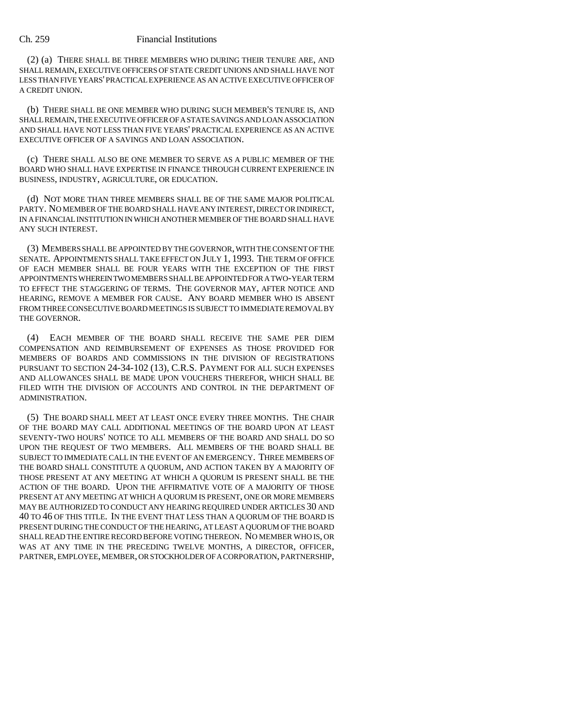(2) (a) THERE SHALL BE THREE MEMBERS WHO DURING THEIR TENURE ARE, AND SHALL REMAIN, EXECUTIVE OFFICERS OF STATE CREDIT UNIONS AND SHALL HAVE NOT LESS THAN FIVE YEARS' PRACTICAL EXPERIENCE AS AN ACTIVE EXECUTIVE OFFICER OF A CREDIT UNION.

(b) THERE SHALL BE ONE MEMBER WHO DURING SUCH MEMBER'S TENURE IS, AND SHALL REMAIN, THE EXECUTIVE OFFICER OF A STATE SAVINGS AND LOAN ASSOCIATION AND SHALL HAVE NOT LESS THAN FIVE YEARS' PRACTICAL EXPERIENCE AS AN ACTIVE EXECUTIVE OFFICER OF A SAVINGS AND LOAN ASSOCIATION.

(c) THERE SHALL ALSO BE ONE MEMBER TO SERVE AS A PUBLIC MEMBER OF THE BOARD WHO SHALL HAVE EXPERTISE IN FINANCE THROUGH CURRENT EXPERIENCE IN BUSINESS, INDUSTRY, AGRICULTURE, OR EDUCATION.

(d) NOT MORE THAN THREE MEMBERS SHALL BE OF THE SAME MAJOR POLITICAL PARTY. NO MEMBER OF THE BOARD SHALL HAVE ANY INTEREST, DIRECT OR INDIRECT, IN A FINANCIAL INSTITUTION IN WHICH ANOTHER MEMBER OF THE BOARD SHALL HAVE ANY SUCH INTEREST.

(3) MEMBERS SHALL BE APPOINTED BY THE GOVERNOR, WITH THE CONSENT OF THE SENATE. APPOINTMENTS SHALL TAKE EFFECT ON JULY 1, 1993. THE TERM OF OFFICE OF EACH MEMBER SHALL BE FOUR YEARS WITH THE EXCEPTION OF THE FIRST APPOINTMENTS WHEREIN TWO MEMBERS SHALL BE APPOINTED FOR A TWO-YEAR TERM TO EFFECT THE STAGGERING OF TERMS. THE GOVERNOR MAY, AFTER NOTICE AND HEARING, REMOVE A MEMBER FOR CAUSE. ANY BOARD MEMBER WHO IS ABSENT FROM THREE CONSECUTIVE BOARD MEETINGS IS SUBJECT TO IMMEDIATE REMOVAL BY THE GOVERNOR.

(4) EACH MEMBER OF THE BOARD SHALL RECEIVE THE SAME PER DIEM COMPENSATION AND REIMBURSEMENT OF EXPENSES AS THOSE PROVIDED FOR MEMBERS OF BOARDS AND COMMISSIONS IN THE DIVISION OF REGISTRATIONS PURSUANT TO SECTION 24-34-102 (13), C.R.S. PAYMENT FOR ALL SUCH EXPENSES AND ALLOWANCES SHALL BE MADE UPON VOUCHERS THEREFOR, WHICH SHALL BE FILED WITH THE DIVISION OF ACCOUNTS AND CONTROL IN THE DEPARTMENT OF ADMINISTRATION.

(5) THE BOARD SHALL MEET AT LEAST ONCE EVERY THREE MONTHS. THE CHAIR OF THE BOARD MAY CALL ADDITIONAL MEETINGS OF THE BOARD UPON AT LEAST SEVENTY-TWO HOURS' NOTICE TO ALL MEMBERS OF THE BOARD AND SHALL DO SO UPON THE REQUEST OF TWO MEMBERS. ALL MEMBERS OF THE BOARD SHALL BE SUBJECT TO IMMEDIATE CALL IN THE EVENT OF AN EMERGENCY. THREE MEMBERS OF THE BOARD SHALL CONSTITUTE A QUORUM, AND ACTION TAKEN BY A MAJORITY OF THOSE PRESENT AT ANY MEETING AT WHICH A QUORUM IS PRESENT SHALL BE THE ACTION OF THE BOARD. UPON THE AFFIRMATIVE VOTE OF A MAJORITY OF THOSE PRESENT AT ANY MEETING AT WHICH A QUORUM IS PRESENT, ONE OR MORE MEMBERS MAY BE AUTHORIZED TO CONDUCT ANY HEARING REQUIRED UNDER ARTICLES 30 AND 40 TO 46 OF THIS TITLE. IN THE EVENT THAT LESS THAN A QUORUM OF THE BOARD IS PRESENT DURING THE CONDUCT OF THE HEARING, AT LEAST A QUORUM OF THE BOARD SHALL READ THE ENTIRE RECORD BEFORE VOTING THEREON. NO MEMBER WHO IS, OR WAS AT ANY TIME IN THE PRECEDING TWELVE MONTHS, A DIRECTOR, OFFICER, PARTNER, EMPLOYEE, MEMBER, OR STOCKHOLDER OF A CORPORATION, PARTNERSHIP,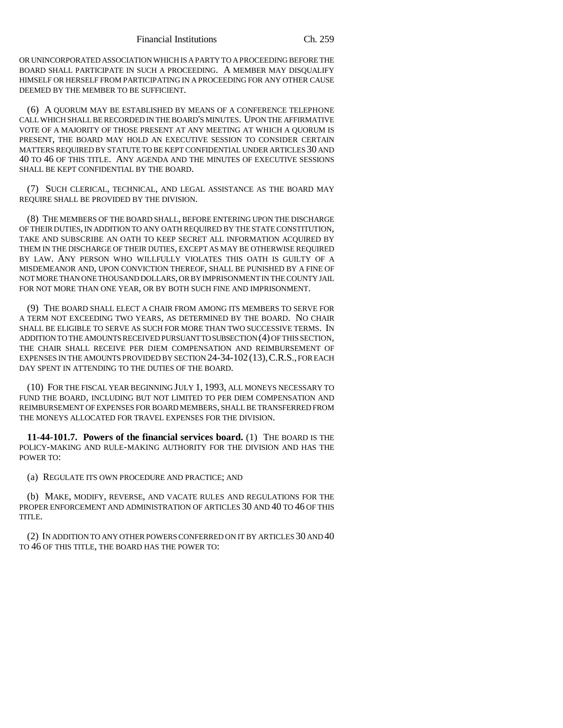OR UNINCORPORATED ASSOCIATION WHICH IS A PARTY TO A PROCEEDING BEFORE THE BOARD SHALL PARTICIPATE IN SUCH A PROCEEDING. A MEMBER MAY DISQUALIFY HIMSELF OR HERSELF FROM PARTICIPATING IN A PROCEEDING FOR ANY OTHER CAUSE DEEMED BY THE MEMBER TO BE SUFFICIENT.

(6) A QUORUM MAY BE ESTABLISHED BY MEANS OF A CONFERENCE TELEPHONE CALL WHICH SHALL BE RECORDED IN THE BOARD'S MINUTES. UPON THE AFFIRMATIVE VOTE OF A MAJORITY OF THOSE PRESENT AT ANY MEETING AT WHICH A QUORUM IS PRESENT, THE BOARD MAY HOLD AN EXECUTIVE SESSION TO CONSIDER CERTAIN MATTERS REQUIRED BY STATUTE TO BE KEPT CONFIDENTIAL UNDER ARTICLES 30 AND 40 TO 46 OF THIS TITLE. ANY AGENDA AND THE MINUTES OF EXECUTIVE SESSIONS SHALL BE KEPT CONFIDENTIAL BY THE BOARD.

(7) SUCH CLERICAL, TECHNICAL, AND LEGAL ASSISTANCE AS THE BOARD MAY REQUIRE SHALL BE PROVIDED BY THE DIVISION.

(8) THE MEMBERS OF THE BOARD SHALL, BEFORE ENTERING UPON THE DISCHARGE OF THEIR DUTIES, IN ADDITION TO ANY OATH REQUIRED BY THE STATE CONSTITUTION, TAKE AND SUBSCRIBE AN OATH TO KEEP SECRET ALL INFORMATION ACQUIRED BY THEM IN THE DISCHARGE OF THEIR DUTIES, EXCEPT AS MAY BE OTHERWISE REQUIRED BY LAW. ANY PERSON WHO WILLFULLY VIOLATES THIS OATH IS GUILTY OF A MISDEMEANOR AND, UPON CONVICTION THEREOF, SHALL BE PUNISHED BY A FINE OF NOT MORE THAN ONE THOUSAND DOLLARS, OR BY IMPRISONMENT IN THE COUNTY JAIL FOR NOT MORE THAN ONE YEAR, OR BY BOTH SUCH FINE AND IMPRISONMENT.

(9) THE BOARD SHALL ELECT A CHAIR FROM AMONG ITS MEMBERS TO SERVE FOR A TERM NOT EXCEEDING TWO YEARS, AS DETERMINED BY THE BOARD. NO CHAIR SHALL BE ELIGIBLE TO SERVE AS SUCH FOR MORE THAN TWO SUCCESSIVE TERMS. IN ADDITION TO THE AMOUNTS RECEIVED PURSUANT TO SUBSECTION (4) OF THIS SECTION, THE CHAIR SHALL RECEIVE PER DIEM COMPENSATION AND REIMBURSEMENT OF EXPENSES IN THE AMOUNTS PROVIDED BY SECTION 24-34-102(13),C.R.S., FOR EACH DAY SPENT IN ATTENDING TO THE DUTIES OF THE BOARD.

(10) FOR THE FISCAL YEAR BEGINNING JULY 1, 1993, ALL MONEYS NECESSARY TO FUND THE BOARD, INCLUDING BUT NOT LIMITED TO PER DIEM COMPENSATION AND REIMBURSEMENT OF EXPENSES FOR BOARD MEMBERS, SHALL BE TRANSFERRED FROM THE MONEYS ALLOCATED FOR TRAVEL EXPENSES FOR THE DIVISION.

**11-44-101.7. Powers of the financial services board.** (1) THE BOARD IS THE POLICY-MAKING AND RULE-MAKING AUTHORITY FOR THE DIVISION AND HAS THE POWER TO:

(a) REGULATE ITS OWN PROCEDURE AND PRACTICE; AND

(b) MAKE, MODIFY, REVERSE, AND VACATE RULES AND REGULATIONS FOR THE PROPER ENFORCEMENT AND ADMINISTRATION OF ARTICLES 30 AND 40 TO 46 OF THIS TITLE.

(2) IN ADDITION TO ANY OTHER POWERS CONFERRED ON IT BY ARTICLES 30 AND 40 TO 46 OF THIS TITLE, THE BOARD HAS THE POWER TO: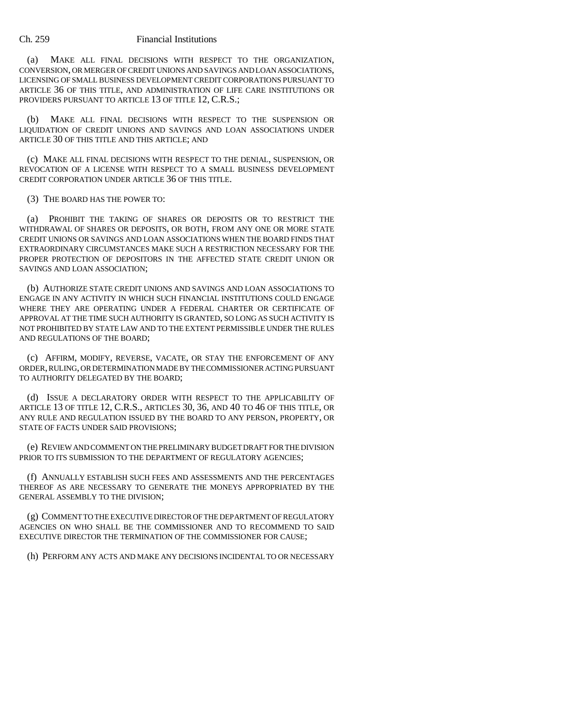(a) MAKE ALL FINAL DECISIONS WITH RESPECT TO THE ORGANIZATION, CONVERSION, OR MERGER OF CREDIT UNIONS AND SAVINGS AND LOAN ASSOCIATIONS, LICENSING OF SMALL BUSINESS DEVELOPMENT CREDIT CORPORATIONS PURSUANT TO ARTICLE 36 OF THIS TITLE, AND ADMINISTRATION OF LIFE CARE INSTITUTIONS OR PROVIDERS PURSUANT TO ARTICLE 13 OF TITLE 12, C.R.S.;

(b) MAKE ALL FINAL DECISIONS WITH RESPECT TO THE SUSPENSION OR LIQUIDATION OF CREDIT UNIONS AND SAVINGS AND LOAN ASSOCIATIONS UNDER ARTICLE 30 OF THIS TITLE AND THIS ARTICLE; AND

(c) MAKE ALL FINAL DECISIONS WITH RESPECT TO THE DENIAL, SUSPENSION, OR REVOCATION OF A LICENSE WITH RESPECT TO A SMALL BUSINESS DEVELOPMENT CREDIT CORPORATION UNDER ARTICLE 36 OF THIS TITLE.

## (3) THE BOARD HAS THE POWER TO:

(a) PROHIBIT THE TAKING OF SHARES OR DEPOSITS OR TO RESTRICT THE WITHDRAWAL OF SHARES OR DEPOSITS, OR BOTH, FROM ANY ONE OR MORE STATE CREDIT UNIONS OR SAVINGS AND LOAN ASSOCIATIONS WHEN THE BOARD FINDS THAT EXTRAORDINARY CIRCUMSTANCES MAKE SUCH A RESTRICTION NECESSARY FOR THE PROPER PROTECTION OF DEPOSITORS IN THE AFFECTED STATE CREDIT UNION OR SAVINGS AND LOAN ASSOCIATION;

(b) AUTHORIZE STATE CREDIT UNIONS AND SAVINGS AND LOAN ASSOCIATIONS TO ENGAGE IN ANY ACTIVITY IN WHICH SUCH FINANCIAL INSTITUTIONS COULD ENGAGE WHERE THEY ARE OPERATING UNDER A FEDERAL CHARTER OR CERTIFICATE OF APPROVAL AT THE TIME SUCH AUTHORITY IS GRANTED, SO LONG AS SUCH ACTIVITY IS NOT PROHIBITED BY STATE LAW AND TO THE EXTENT PERMISSIBLE UNDER THE RULES AND REGULATIONS OF THE BOARD;

(c) AFFIRM, MODIFY, REVERSE, VACATE, OR STAY THE ENFORCEMENT OF ANY ORDER, RULING, OR DETERMINATION MADE BY THE COMMISSIONER ACTING PURSUANT TO AUTHORITY DELEGATED BY THE BOARD;

(d) ISSUE A DECLARATORY ORDER WITH RESPECT TO THE APPLICABILITY OF ARTICLE 13 OF TITLE 12, C.R.S., ARTICLES 30, 36, AND 40 TO 46 OF THIS TITLE, OR ANY RULE AND REGULATION ISSUED BY THE BOARD TO ANY PERSON, PROPERTY, OR STATE OF FACTS UNDER SAID PROVISIONS;

(e) REVIEW AND COMMENT ON THE PRELIMINARY BUDGET DRAFT FOR THE DIVISION PRIOR TO ITS SUBMISSION TO THE DEPARTMENT OF REGULATORY AGENCIES;

(f) ANNUALLY ESTABLISH SUCH FEES AND ASSESSMENTS AND THE PERCENTAGES THEREOF AS ARE NECESSARY TO GENERATE THE MONEYS APPROPRIATED BY THE GENERAL ASSEMBLY TO THE DIVISION;

(g) COMMENT TO THE EXECUTIVE DIRECTOR OF THE DEPARTMENT OF REGULATORY AGENCIES ON WHO SHALL BE THE COMMISSIONER AND TO RECOMMEND TO SAID EXECUTIVE DIRECTOR THE TERMINATION OF THE COMMISSIONER FOR CAUSE;

(h) PERFORM ANY ACTS AND MAKE ANY DECISIONS INCIDENTAL TO OR NECESSARY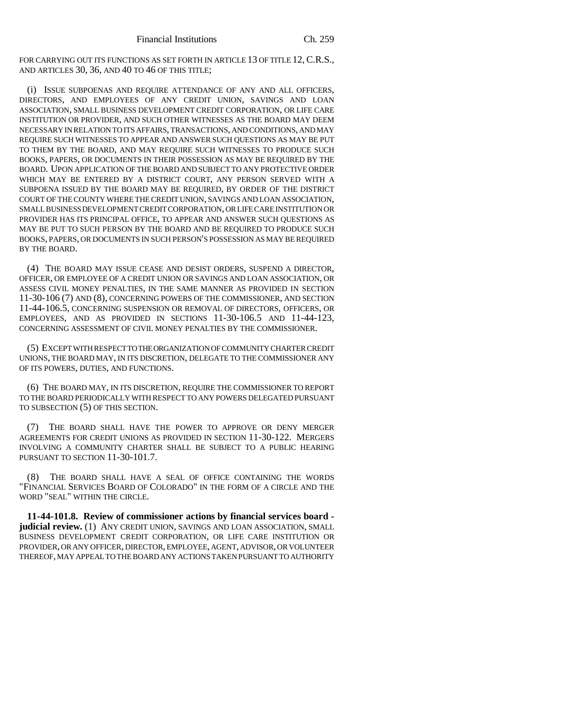FOR CARRYING OUT ITS FUNCTIONS AS SET FORTH IN ARTICLE 13 OF TITLE 12, C.R.S., AND ARTICLES 30, 36, AND 40 TO 46 OF THIS TITLE;

(i) ISSUE SUBPOENAS AND REQUIRE ATTENDANCE OF ANY AND ALL OFFICERS, DIRECTORS, AND EMPLOYEES OF ANY CREDIT UNION, SAVINGS AND LOAN ASSOCIATION, SMALL BUSINESS DEVELOPMENT CREDIT CORPORATION, OR LIFE CARE INSTITUTION OR PROVIDER, AND SUCH OTHER WITNESSES AS THE BOARD MAY DEEM NECESSARY IN RELATION TO ITS AFFAIRS, TRANSACTIONS, AND CONDITIONS, AND MAY REQUIRE SUCH WITNESSES TO APPEAR AND ANSWER SUCH QUESTIONS AS MAY BE PUT TO THEM BY THE BOARD, AND MAY REQUIRE SUCH WITNESSES TO PRODUCE SUCH BOOKS, PAPERS, OR DOCUMENTS IN THEIR POSSESSION AS MAY BE REQUIRED BY THE BOARD. UPON APPLICATION OF THE BOARD AND SUBJECT TO ANY PROTECTIVE ORDER WHICH MAY BE ENTERED BY A DISTRICT COURT, ANY PERSON SERVED WITH A SUBPOENA ISSUED BY THE BOARD MAY BE REQUIRED, BY ORDER OF THE DISTRICT COURT OF THE COUNTY WHERE THE CREDIT UNION, SAVINGS AND LOAN ASSOCIATION, SMALL BUSINESS DEVELOPMENT CREDIT CORPORATION, OR LIFE CARE INSTITUTION OR PROVIDER HAS ITS PRINCIPAL OFFICE, TO APPEAR AND ANSWER SUCH QUESTIONS AS MAY BE PUT TO SUCH PERSON BY THE BOARD AND BE REQUIRED TO PRODUCE SUCH BOOKS, PAPERS, OR DOCUMENTS IN SUCH PERSON'S POSSESSION AS MAY BE REQUIRED BY THE BOARD.

(4) THE BOARD MAY ISSUE CEASE AND DESIST ORDERS, SUSPEND A DIRECTOR, OFFICER, OR EMPLOYEE OF A CREDIT UNION OR SAVINGS AND LOAN ASSOCIATION, OR ASSESS CIVIL MONEY PENALTIES, IN THE SAME MANNER AS PROVIDED IN SECTION 11-30-106 (7) AND (8), CONCERNING POWERS OF THE COMMISSIONER, AND SECTION 11-44-106.5, CONCERNING SUSPENSION OR REMOVAL OF DIRECTORS, OFFICERS, OR EMPLOYEES, AND AS PROVIDED IN SECTIONS 11-30-106.5 AND 11-44-123, CONCERNING ASSESSMENT OF CIVIL MONEY PENALTIES BY THE COMMISSIONER.

(5) EXCEPT WITH RESPECT TO THE ORGANIZATION OF COMMUNITY CHARTER CREDIT UNIONS, THE BOARD MAY, IN ITS DISCRETION, DELEGATE TO THE COMMISSIONER ANY OF ITS POWERS, DUTIES, AND FUNCTIONS.

(6) THE BOARD MAY, IN ITS DISCRETION, REQUIRE THE COMMISSIONER TO REPORT TO THE BOARD PERIODICALLY WITH RESPECT TO ANY POWERS DELEGATED PURSUANT TO SUBSECTION (5) OF THIS SECTION.

(7) THE BOARD SHALL HAVE THE POWER TO APPROVE OR DENY MERGER AGREEMENTS FOR CREDIT UNIONS AS PROVIDED IN SECTION 11-30-122. MERGERS INVOLVING A COMMUNITY CHARTER SHALL BE SUBJECT TO A PUBLIC HEARING PURSUANT TO SECTION 11-30-101.7.

(8) THE BOARD SHALL HAVE A SEAL OF OFFICE CONTAINING THE WORDS "FINANCIAL SERVICES BOARD OF COLORADO" IN THE FORM OF A CIRCLE AND THE WORD "SEAL" WITHIN THE CIRCLE.

**11-44-101.8. Review of commissioner actions by financial services board judicial review.** (1) ANY CREDIT UNION, SAVINGS AND LOAN ASSOCIATION, SMALL BUSINESS DEVELOPMENT CREDIT CORPORATION, OR LIFE CARE INSTITUTION OR PROVIDER, OR ANY OFFICER, DIRECTOR, EMPLOYEE, AGENT, ADVISOR, OR VOLUNTEER THEREOF, MAY APPEAL TO THE BOARD ANY ACTIONS TAKEN PURSUANT TO AUTHORITY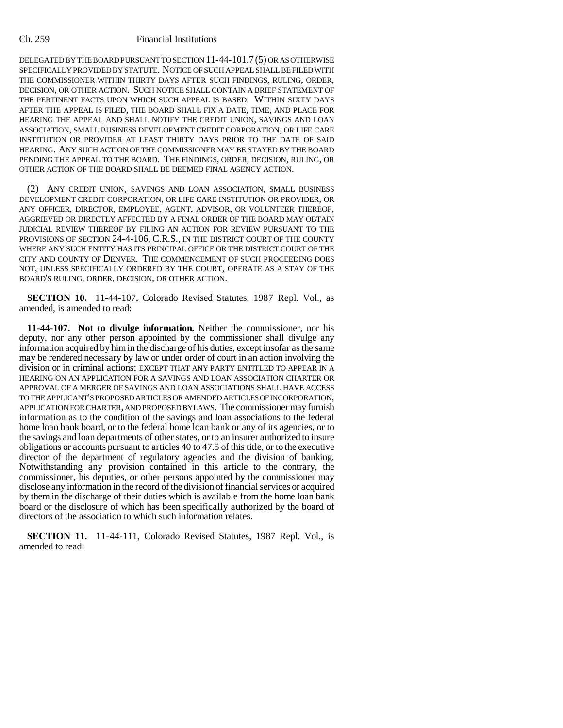DELEGATED BY THE BOARD PURSUANT TO SECTION 11-44-101.7 (5) OR AS OTHERWISE SPECIFICALLY PROVIDED BY STATUTE. NOTICE OF SUCH APPEAL SHALL BE FILED WITH THE COMMISSIONER WITHIN THIRTY DAYS AFTER SUCH FINDINGS, RULING, ORDER, DECISION, OR OTHER ACTION. SUCH NOTICE SHALL CONTAIN A BRIEF STATEMENT OF THE PERTINENT FACTS UPON WHICH SUCH APPEAL IS BASED. WITHIN SIXTY DAYS AFTER THE APPEAL IS FILED, THE BOARD SHALL FIX A DATE, TIME, AND PLACE FOR HEARING THE APPEAL AND SHALL NOTIFY THE CREDIT UNION, SAVINGS AND LOAN ASSOCIATION, SMALL BUSINESS DEVELOPMENT CREDIT CORPORATION, OR LIFE CARE INSTITUTION OR PROVIDER AT LEAST THIRTY DAYS PRIOR TO THE DATE OF SAID HEARING. ANY SUCH ACTION OF THE COMMISSIONER MAY BE STAYED BY THE BOARD PENDING THE APPEAL TO THE BOARD. THE FINDINGS, ORDER, DECISION, RULING, OR OTHER ACTION OF THE BOARD SHALL BE DEEMED FINAL AGENCY ACTION.

(2) ANY CREDIT UNION, SAVINGS AND LOAN ASSOCIATION, SMALL BUSINESS DEVELOPMENT CREDIT CORPORATION, OR LIFE CARE INSTITUTION OR PROVIDER, OR ANY OFFICER, DIRECTOR, EMPLOYEE, AGENT, ADVISOR, OR VOLUNTEER THEREOF, AGGRIEVED OR DIRECTLY AFFECTED BY A FINAL ORDER OF THE BOARD MAY OBTAIN JUDICIAL REVIEW THEREOF BY FILING AN ACTION FOR REVIEW PURSUANT TO THE PROVISIONS OF SECTION 24-4-106, C.R.S., IN THE DISTRICT COURT OF THE COUNTY WHERE ANY SUCH ENTITY HAS ITS PRINCIPAL OFFICE OR THE DISTRICT COURT OF THE CITY AND COUNTY OF DENVER. THE COMMENCEMENT OF SUCH PROCEEDING DOES NOT, UNLESS SPECIFICALLY ORDERED BY THE COURT, OPERATE AS A STAY OF THE BOARD'S RULING, ORDER, DECISION, OR OTHER ACTION.

**SECTION 10.** 11-44-107, Colorado Revised Statutes, 1987 Repl. Vol., as amended, is amended to read:

**11-44-107. Not to divulge information.** Neither the commissioner, nor his deputy, nor any other person appointed by the commissioner shall divulge any information acquired by him in the discharge of his duties, except insofar as the same may be rendered necessary by law or under order of court in an action involving the division or in criminal actions; EXCEPT THAT ANY PARTY ENTITLED TO APPEAR IN A HEARING ON AN APPLICATION FOR A SAVINGS AND LOAN ASSOCIATION CHARTER OR APPROVAL OF A MERGER OF SAVINGS AND LOAN ASSOCIATIONS SHALL HAVE ACCESS TO THE APPLICANT'S PROPOSED ARTICLES OR AMENDED ARTICLES OF INCORPORATION, APPLICATION FOR CHARTER, AND PROPOSED BYLAWS. The commissioner may furnish information as to the condition of the savings and loan associations to the federal home loan bank board, or to the federal home loan bank or any of its agencies, or to the savings and loan departments of other states, or to an insurer authorized to insure obligations or accounts pursuant to articles 40 to 47.5 of this title, or to the executive director of the department of regulatory agencies and the division of banking. Notwithstanding any provision contained in this article to the contrary, the commissioner, his deputies, or other persons appointed by the commissioner may disclose any information in the record of the division of financial services or acquired by them in the discharge of their duties which is available from the home loan bank board or the disclosure of which has been specifically authorized by the board of directors of the association to which such information relates.

**SECTION 11.** 11-44-111, Colorado Revised Statutes, 1987 Repl. Vol., is amended to read: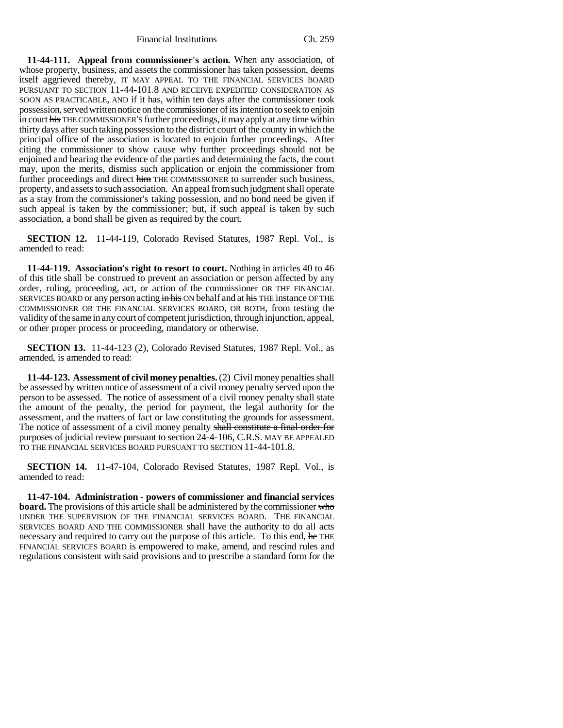Financial Institutions Ch. 259

**11-44-111. Appeal from commissioner's action.** When any association, of whose property, business, and assets the commissioner has taken possession, deems itself aggrieved thereby, IT MAY APPEAL TO THE FINANCIAL SERVICES BOARD PURSUANT TO SECTION 11-44-101.8 AND RECEIVE EXPEDITED CONSIDERATION AS SOON AS PRACTICABLE, AND if it has, within ten days after the commissioner took possession, served written notice on the commissioner of its intention to seek to enjoin in court his THE COMMISSIONER'S further proceedings, it may apply at any time within thirty days after such taking possession to the district court of the county in which the principal office of the association is located to enjoin further proceedings. After citing the commissioner to show cause why further proceedings should not be enjoined and hearing the evidence of the parties and determining the facts, the court may, upon the merits, dismiss such application or enjoin the commissioner from further proceedings and direct him THE COMMISSIONER to surrender such business, property, and assets to such association. An appeal from such judgment shall operate as a stay from the commissioner's taking possession, and no bond need be given if such appeal is taken by the commissioner; but, if such appeal is taken by such association, a bond shall be given as required by the court.

**SECTION 12.** 11-44-119, Colorado Revised Statutes, 1987 Repl. Vol., is amended to read:

**11-44-119. Association's right to resort to court.** Nothing in articles 40 to 46 of this title shall be construed to prevent an association or person affected by any order, ruling, proceeding, act, or action of the commissioner OR THE FINANCIAL SERVICES BOARD or any person acting in his ON behalf and at his THE instance OF THE COMMISSIONER OR THE FINANCIAL SERVICES BOARD, OR BOTH, from testing the validity of the same in any court of competent jurisdiction, through injunction, appeal, or other proper process or proceeding, mandatory or otherwise.

**SECTION 13.** 11-44-123 (2), Colorado Revised Statutes, 1987 Repl. Vol., as amended, is amended to read:

**11-44-123. Assessment of civil money penalties.** (2) Civil money penalties shall be assessed by written notice of assessment of a civil money penalty served upon the person to be assessed. The notice of assessment of a civil money penalty shall state the amount of the penalty, the period for payment, the legal authority for the assessment, and the matters of fact or law constituting the grounds for assessment. The notice of assessment of a civil money penalty shall constitute a final order for purposes of judicial review pursuant to section 24-4-106, C.R.S. MAY BE APPEALED TO THE FINANCIAL SERVICES BOARD PURSUANT TO SECTION 11-44-101.8.

**SECTION 14.** 11-47-104, Colorado Revised Statutes, 1987 Repl. Vol., is amended to read:

**11-47-104. Administration - powers of commissioner and financial services board.** The provisions of this article shall be administered by the commissioner who UNDER THE SUPERVISION OF THE FINANCIAL SERVICES BOARD. THE FINANCIAL SERVICES BOARD AND THE COMMISSIONER shall have the authority to do all acts necessary and required to carry out the purpose of this article. To this end, he THE FINANCIAL SERVICES BOARD is empowered to make, amend, and rescind rules and regulations consistent with said provisions and to prescribe a standard form for the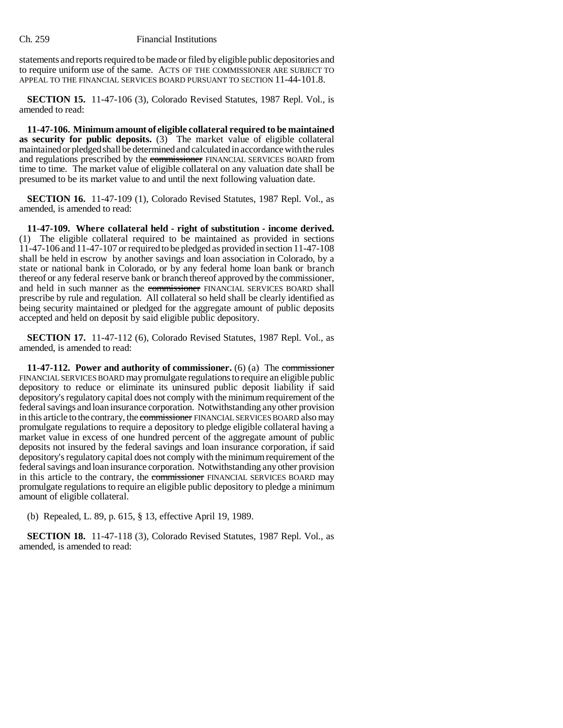statements and reports required to be made or filed by eligible public depositories and to require uniform use of the same. ACTS OF THE COMMISSIONER ARE SUBJECT TO APPEAL TO THE FINANCIAL SERVICES BOARD PURSUANT TO SECTION 11-44-101.8.

**SECTION 15.** 11-47-106 (3), Colorado Revised Statutes, 1987 Repl. Vol., is amended to read:

**11-47-106. Minimum amount of eligible collateral required to be maintained as security for public deposits.** (3) The market value of eligible collateral maintained or pledged shall be determined and calculated in accordance with the rules and regulations prescribed by the commissioner FINANCIAL SERVICES BOARD from time to time. The market value of eligible collateral on any valuation date shall be presumed to be its market value to and until the next following valuation date.

**SECTION 16.** 11-47-109 (1), Colorado Revised Statutes, 1987 Repl. Vol., as amended, is amended to read:

**11-47-109. Where collateral held - right of substitution - income derived.** (1) The eligible collateral required to be maintained as provided in sections 11-47-106 and 11-47-107 or required to be pledged as provided in section 11-47-108 shall be held in escrow by another savings and loan association in Colorado, by a state or national bank in Colorado, or by any federal home loan bank or branch thereof or any federal reserve bank or branch thereof approved by the commissioner, and held in such manner as the commissioner FINANCIAL SERVICES BOARD shall prescribe by rule and regulation. All collateral so held shall be clearly identified as being security maintained or pledged for the aggregate amount of public deposits accepted and held on deposit by said eligible public depository.

**SECTION 17.** 11-47-112 (6), Colorado Revised Statutes, 1987 Repl. Vol., as amended, is amended to read:

**11-47-112. Power and authority of commissioner.** (6) (a) The commissioner FINANCIAL SERVICES BOARD may promulgate regulations to require an eligible public depository to reduce or eliminate its uninsured public deposit liability if said depository's regulatory capital does not comply with the minimum requirement of the federal savings and loan insurance corporation. Notwithstanding any other provision in this article to the contrary, the commissioner FINANCIAL SERVICES BOARD also may promulgate regulations to require a depository to pledge eligible collateral having a market value in excess of one hundred percent of the aggregate amount of public deposits not insured by the federal savings and loan insurance corporation, if said depository's regulatory capital does not comply with the minimum requirement of the federal savings and loan insurance corporation. Notwithstanding any other provision in this article to the contrary, the commissioner FINANCIAL SERVICES BOARD may promulgate regulations to require an eligible public depository to pledge a minimum amount of eligible collateral.

(b) Repealed, L. 89, p. 615, § 13, effective April 19, 1989.

**SECTION 18.** 11-47-118 (3), Colorado Revised Statutes, 1987 Repl. Vol., as amended, is amended to read: